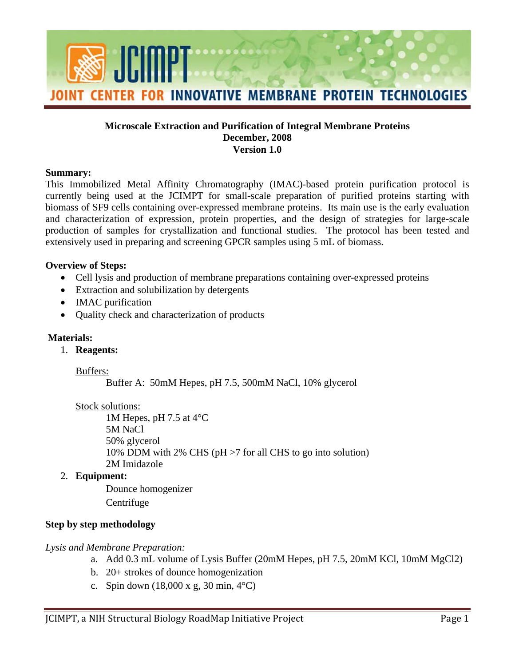

### **Microscale Extraction and Purification of Integral Membrane Proteins December, 2008 Version 1.0**

#### **Summary:**

This Immobilized Metal Affinity Chromatography (IMAC)-based protein purification protocol is currently being used at the JCIMPT for small-scale preparation of purified proteins starting with biomass of SF9 cells containing over-expressed membrane proteins. Its main use is the early evaluation and characterization of expression, protein properties, and the design of strategies for large-scale production of samples for crystallization and functional studies. The protocol has been tested and extensively used in preparing and screening GPCR samples using 5 mL of biomass.

#### **Overview of Steps:**

- Cell lysis and production of membrane preparations containing over-expressed proteins
- Extraction and solubilization by detergents
- IMAC purification
- Quality check and characterization of products

## **Materials:**

1. **Reagents:** 

#### Buffers:

Buffer A: 50mM Hepes, pH 7.5, 500mM NaCl, 10% glycerol

## Stock solutions:

1M Hepes, pH 7.5 at 4°C 5M NaCl 50% glycerol 10% DDM with 2% CHS (pH >7 for all CHS to go into solution) 2M Imidazole

#### 2. **Equipment:**

Dounce homogenizer Centrifuge

## **Step by step methodology**

## *Lysis and Membrane Preparation:*

- a. Add 0.3 mL volume of Lysis Buffer (20mM Hepes, pH 7.5, 20mM KCl, 10mM MgCl2)
- b. 20+ strokes of dounce homogenization
- c. Spin down  $(18,000 \text{ x g}, 30 \text{ min}, 4^{\circ}\text{C})$